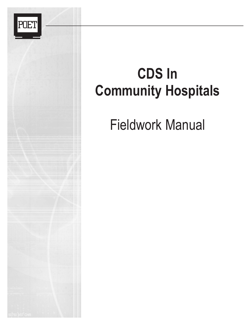

## **CDS In Community Hospitals**

Fieldwork Manual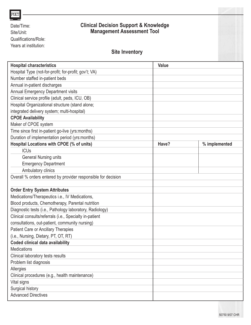| <b>POE</b>                                                    |                                                                                       |              |               |
|---------------------------------------------------------------|---------------------------------------------------------------------------------------|--------------|---------------|
| Date/Time:<br>Site/Unit:                                      | <b>Clinical Decision Support &amp; Knowledge</b><br><b>Management Assessment Tool</b> |              |               |
| Qualifications/Role:                                          |                                                                                       |              |               |
| Years at institution:                                         |                                                                                       |              |               |
|                                                               | <b>Site Inventory</b>                                                                 |              |               |
| <b>Hospital characteristics</b>                               |                                                                                       | <b>Value</b> |               |
| Hospital Type (not-for-profit; for-profit; gov't; VA)         |                                                                                       |              |               |
| Number staffed in-patient beds                                |                                                                                       |              |               |
| Annual in-patient discharges                                  |                                                                                       |              |               |
| Annual Emergency Department visits                            |                                                                                       |              |               |
| Clinical service profile (adult, peds, ICU, OB)               |                                                                                       |              |               |
| Hospital Organizational structure (stand alone;               |                                                                                       |              |               |
| integrated delivery system; multi-hospital)                   |                                                                                       |              |               |
| <b>CPOE Availability</b>                                      |                                                                                       |              |               |
| Maker of CPOE system                                          |                                                                                       |              |               |
| Time since first in-patient go-live (yrs:months)              |                                                                                       |              |               |
| Duration of implementation period (yrs:months)                |                                                                                       |              |               |
| Hospital Locations with CPOE (% of units)                     |                                                                                       | Have?        | % implemented |
| <b>ICUs</b>                                                   |                                                                                       |              |               |
| <b>General Nursing units</b>                                  |                                                                                       |              |               |
| <b>Emergency Department</b>                                   |                                                                                       |              |               |
| Ambulatory clinics                                            |                                                                                       |              |               |
| Overall % orders entered by provider responsible for decision |                                                                                       |              |               |
|                                                               |                                                                                       |              |               |
| <b>Order Entry System Attributes</b>                          |                                                                                       |              |               |
| Medications/Therapeutics i.e., IV Medications,                |                                                                                       |              |               |
| Blood products, Chemotherapy, Parental nutrition              |                                                                                       |              |               |
| Diagnostic tests (i.e., Pathology laboratory, Radiology)      |                                                                                       |              |               |
| Clinical consults/referrals (i.e., Specialty in-patient       |                                                                                       |              |               |
| consultations, out-patient, community nursing)                |                                                                                       |              |               |
| Patient Care or Ancillary Therapies                           |                                                                                       |              |               |
| (i.e., Nursing, Dietary, PT, OT, RT)                          |                                                                                       |              |               |
| <b>Coded clinical data availability</b>                       |                                                                                       |              |               |
| Medications                                                   |                                                                                       |              |               |
| Clinical laboratory tests results                             |                                                                                       |              |               |
| Problem list diagnosis                                        |                                                                                       |              |               |
| Allergies                                                     |                                                                                       |              |               |
| Clinical procedures (e.g., health maintenance)                |                                                                                       |              |               |
| Vital signs                                                   |                                                                                       |              |               |
| Surgical history                                              |                                                                                       |              |               |
| <b>Advanced Directives</b>                                    |                                                                                       |              |               |
|                                                               |                                                                                       |              |               |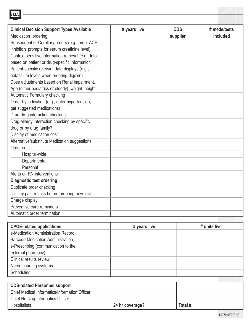| # years live | <b>CDS</b><br>supplier | # meds/tests<br>included |
|--------------|------------------------|--------------------------|
|              |                        |                          |
|              |                        |                          |
|              |                        |                          |
|              |                        |                          |
|              |                        |                          |
|              |                        |                          |
|              |                        |                          |
|              |                        |                          |
|              |                        |                          |
|              |                        |                          |
|              |                        |                          |
|              |                        |                          |
|              |                        |                          |
|              |                        |                          |
|              |                        |                          |
|              |                        |                          |
|              |                        |                          |
|              |                        |                          |
|              |                        |                          |
|              |                        |                          |
|              |                        |                          |
|              |                        |                          |
|              |                        |                          |
|              |                        |                          |
|              |                        |                          |
|              |                        |                          |
|              |                        |                          |
|              |                        |                          |

POET

| <b>CPOE-related applications</b>              | # years live    | # units live |
|-----------------------------------------------|-----------------|--------------|
| e-Medication Administration Record            |                 |              |
| <b>Barcode Medication Administration</b>      |                 |              |
| e-Prescribing (communication to the           |                 |              |
| external pharmacy)                            |                 |              |
| Clinical results review                       |                 |              |
| Nurse charting systems                        |                 |              |
| Scheduling                                    |                 |              |
|                                               |                 |              |
| <b>CDS-related Personnel support</b>          |                 |              |
| Chief Medical Informatics/Information Officer |                 |              |
| <b>Chief Nursing Informatics Officer</b>      |                 |              |
| <b>Hospitalists</b>                           | 24 hr coverage? | Total #      |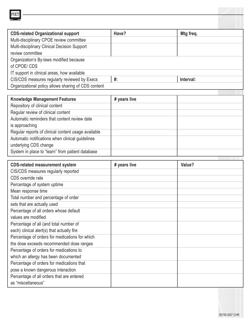| <b>CDS-related Organizational support</b>           | Have? | Mtg freq. |
|-----------------------------------------------------|-------|-----------|
| Multi-disciplinary CPOE review committee            |       |           |
| Multi-disciplinary Clinical Decision Support        |       |           |
| review committee                                    |       |           |
| Organization's By-laws modified because             |       |           |
| of CPOE/CDS                                         |       |           |
| IT support in clinical areas, how available         |       |           |
| CIS/CDS measures regularly reviewed by Execs        | #:    | Interval: |
| Organizational policy allows sharing of CDS content |       |           |

POET

| <b>Knowledge Management Features</b>                | # years live |  |
|-----------------------------------------------------|--------------|--|
| Repository of clinical content                      |              |  |
| Regular review of clinical content                  |              |  |
| Automatic reminders that content review date        |              |  |
| is approaching                                      |              |  |
| Regular reports of clinical content usage available |              |  |
| Automatic notifications when clinical guidelines    |              |  |
| underlying CDS change                               |              |  |
| System in place to "learn" from patient database    |              |  |

| <b>CDS-related measurement system</b>          | # years live | Value? |
|------------------------------------------------|--------------|--------|
| CIS/CDS measures regularly reported            |              |        |
| CDS override rate                              |              |        |
| Percentage of system uptime                    |              |        |
| Mean response time                             |              |        |
| Total number and percentage of order           |              |        |
| sets that are actually used                    |              |        |
| Percentage of all orders whose default         |              |        |
| values are modified                            |              |        |
| Percentage of all (and total number of         |              |        |
| each) clinical alert(s) that actually fire     |              |        |
| Percentage of orders for medications for which |              |        |
| the dose exceeds recommended dose ranges       |              |        |
| Percentage of orders for medications to        |              |        |
| which an allergy has been documented           |              |        |
| Percentage of orders for medications that      |              |        |
| pose a known dangerous interaction             |              |        |
| Percentage of all orders that are entered      |              |        |
| as "miscellaneous"                             |              |        |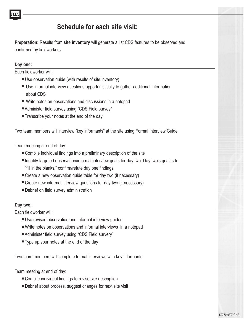## **Schedule for each site visit:**

**Preparation:** Results from **site inventory** will generate a list CDS features to be observed and confirmed by fieldworkers

#### **Day one:**

Each fieldworker will:

- Use observation guide (with results of site inventory)
- Use informal interview questions opportunistically to gather additional information about CDS
- Write notes on observations and discussions in a notepad
- Administer field survey using "CDS Field survey"
- Transcribe your notes at the end of the day

Two team members will interview "key informants" at the site using Formal Interview Guide

Team meeting at end of day

- Compile individual findings into a preliminary description of the site
- Identify targeted observation/informal interview goals for day two. Day two's goal is to "fill in the blanks," confirm/refute day one findings
- Create a new observation guide table for day two (if necessary)
- Create new informal interview questions for day two (if necessary)
- Debrief on field survey administration

#### **Day two:**

Each fieldworker will:

- Use revised observation and informal interview quides
- Write notes on observations and informal interviews in a notepad
- Administer field survey using "CDS Field survery"
- Type up your notes at the end of the day

Two team members will complete formal interviews with key informants

Team meeting at end of day:

- Compile individual findings to revise site description
- Debrief about process, suggest changes for next site visit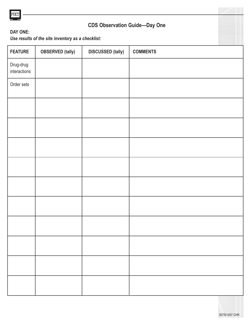

## **CDS Observation Guide—Day One**

### **DAY ONE:**

*Use results of the site inventory as a checklist:*

| <b>FEATURE</b>            | <b>OBSERVED</b> (tally) | <b>DISCUSSED (tally)</b> | <b>COMMENTS</b> |
|---------------------------|-------------------------|--------------------------|-----------------|
| Drug-drug<br>interactions |                         |                          |                 |
| Order sets                |                         |                          |                 |
|                           |                         |                          |                 |
|                           |                         |                          |                 |
|                           |                         |                          |                 |
|                           |                         |                          |                 |
|                           |                         |                          |                 |
|                           |                         |                          |                 |
|                           |                         |                          |                 |
|                           |                         |                          |                 |
|                           |                         |                          |                 |
|                           |                         |                          |                 |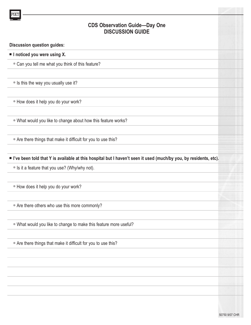# **CDS Observation Guide—Day One DISCUSSION GUIDE Discussion question guides:** ■ **I noticed you were using X.** • Can you tell me what you think of this feature? ● Is this the way you usually use it? ● How does it help you do your work? • What would you like to change about how this feature works? ● Are there things that make it difficult for you to use this? ■ **I've been told that Y is available at this hospital but I haven't seen it used (much/by you, by residents, etc).** ● Is it a feature that you use? (Why/why not). ● How does it help you do your work? ● Are there others who use this more commonly? ● What would you like to change to make this feature more useful? ● Are there things that make it difficult for you to use this?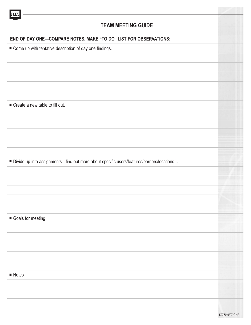| <b>TEAM MEETING GUIDE</b><br>END OF DAY ONE-COMPARE NOTES, MAKE "TO DO" LIST FOR OBSERVATIONS:<br>■ Come up with tentative description of day one findings.<br>Create a new table to fill out.<br>■ Divide up into assignments-find out more about specific users/features/barriers/locations<br>Goals for meeting:<br>$\blacksquare$ Notes |  |
|---------------------------------------------------------------------------------------------------------------------------------------------------------------------------------------------------------------------------------------------------------------------------------------------------------------------------------------------|--|
|                                                                                                                                                                                                                                                                                                                                             |  |
|                                                                                                                                                                                                                                                                                                                                             |  |
|                                                                                                                                                                                                                                                                                                                                             |  |
|                                                                                                                                                                                                                                                                                                                                             |  |
|                                                                                                                                                                                                                                                                                                                                             |  |
|                                                                                                                                                                                                                                                                                                                                             |  |
|                                                                                                                                                                                                                                                                                                                                             |  |
|                                                                                                                                                                                                                                                                                                                                             |  |
|                                                                                                                                                                                                                                                                                                                                             |  |
|                                                                                                                                                                                                                                                                                                                                             |  |
|                                                                                                                                                                                                                                                                                                                                             |  |
|                                                                                                                                                                                                                                                                                                                                             |  |
|                                                                                                                                                                                                                                                                                                                                             |  |
|                                                                                                                                                                                                                                                                                                                                             |  |
|                                                                                                                                                                                                                                                                                                                                             |  |
|                                                                                                                                                                                                                                                                                                                                             |  |
|                                                                                                                                                                                                                                                                                                                                             |  |
|                                                                                                                                                                                                                                                                                                                                             |  |
|                                                                                                                                                                                                                                                                                                                                             |  |
|                                                                                                                                                                                                                                                                                                                                             |  |
|                                                                                                                                                                                                                                                                                                                                             |  |
|                                                                                                                                                                                                                                                                                                                                             |  |
|                                                                                                                                                                                                                                                                                                                                             |  |
|                                                                                                                                                                                                                                                                                                                                             |  |
|                                                                                                                                                                                                                                                                                                                                             |  |
|                                                                                                                                                                                                                                                                                                                                             |  |
|                                                                                                                                                                                                                                                                                                                                             |  |
|                                                                                                                                                                                                                                                                                                                                             |  |
|                                                                                                                                                                                                                                                                                                                                             |  |
|                                                                                                                                                                                                                                                                                                                                             |  |
|                                                                                                                                                                                                                                                                                                                                             |  |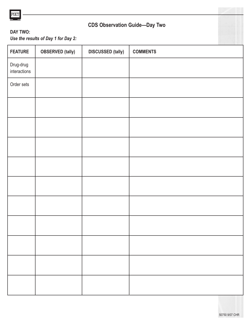

## **CDS Observation Guide—Day Two**

### **DAY TWO:**

*Use the results of Day 1 for Day 2:*

| <b>FEATURE</b>            | <b>OBSERVED</b> (tally) | <b>DISCUSSED (tally)</b> | <b>COMMENTS</b> |
|---------------------------|-------------------------|--------------------------|-----------------|
| Drug-drug<br>interactions |                         |                          |                 |
| Order sets                |                         |                          |                 |
|                           |                         |                          |                 |
|                           |                         |                          |                 |
|                           |                         |                          |                 |
|                           |                         |                          |                 |
|                           |                         |                          |                 |
|                           |                         |                          |                 |
|                           |                         |                          |                 |
|                           |                         |                          |                 |
|                           |                         |                          |                 |
|                           |                         |                          |                 |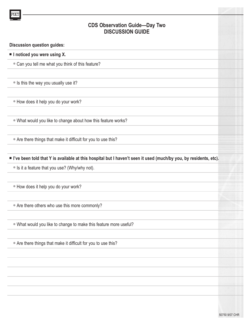# **CDS Observation Guide—Day Two DISCUSSION GUIDE Discussion question guides:** ■ **I noticed you were using X.** • Can you tell me what you think of this feature? ● Is this the way you usually use it? ● How does it help you do your work? • What would you like to change about how this feature works? ● Are there things that make it difficult for you to use this? ■ **I've been told that Y is available at this hospital but I haven't seen it used (much/by you, by residents, etc).** ● Is it a feature that you use? (Why/why not). ● How does it help you do your work? ● Are there others who use this more commonly? ● What would you like to change to make this feature more useful? ● Are there things that make it difficult for you to use this?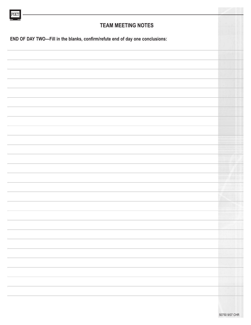| POE <sup>®</sup>                                                              |                                   |
|-------------------------------------------------------------------------------|-----------------------------------|
| <b>TEAM MEETING NOTES</b>                                                     |                                   |
| END OF DAY TWO-Fill in the blanks, confirm/refute end of day one conclusions: |                                   |
|                                                                               |                                   |
|                                                                               |                                   |
|                                                                               |                                   |
|                                                                               |                                   |
|                                                                               |                                   |
|                                                                               |                                   |
|                                                                               |                                   |
|                                                                               |                                   |
|                                                                               |                                   |
|                                                                               |                                   |
|                                                                               |                                   |
|                                                                               |                                   |
|                                                                               |                                   |
|                                                                               |                                   |
|                                                                               |                                   |
|                                                                               |                                   |
|                                                                               | w<br>AU                           |
|                                                                               | parties receiving an art and<br>. |
|                                                                               | <b>Service Advisory Service</b>   |
|                                                                               |                                   |
|                                                                               |                                   |
|                                                                               |                                   |
|                                                                               |                                   |
|                                                                               |                                   |
|                                                                               |                                   |
|                                                                               | a na s                            |
|                                                                               |                                   |
|                                                                               |                                   |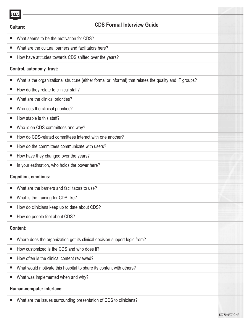| POET            |                                                                                                          |  |
|-----------------|----------------------------------------------------------------------------------------------------------|--|
| <b>Culture:</b> | <b>CDS Formal Interview Guide</b>                                                                        |  |
| ш               | What seems to be the motivation for CDS?                                                                 |  |
| ш               | What are the cultural barriers and facilitators here?                                                    |  |
| ш               | How have attitudes towards CDS shifted over the years?                                                   |  |
|                 | Control, autonomy, trust:                                                                                |  |
| ш               | What is the organizational structure (either formal or informal) that relates the quality and IT groups? |  |
| ш               | How do they relate to clinical staff?                                                                    |  |
| ш               | What are the clinical priorities?                                                                        |  |
| ш               | Who sets the clinical priorities?                                                                        |  |
| ш               | How stable is this staff?                                                                                |  |
| ш               | Who is on CDS committees and why?                                                                        |  |
| ш               | How do CDS-related committees interact with one another?                                                 |  |
| ш               | How do the committees communicate with users?                                                            |  |
| ш               | How have they changed over the years?                                                                    |  |
| $\blacksquare$  | In your estimation, who holds the power here?                                                            |  |
|                 | <b>Cognition, emotions:</b>                                                                              |  |
| ш               | What are the barriers and facilitators to use?                                                           |  |
| ш               | What is the training for CDS like?                                                                       |  |
| ш               | How do clinicians keep up to date about CDS?                                                             |  |
| ш               | How do people feel about CDS?                                                                            |  |
| <b>Content:</b> |                                                                                                          |  |
| ш               | Where does the organization get its clinical decision support logic from?                                |  |
| Е               | How customized is the CDS and who does it?                                                               |  |
| ш               | How often is the clinical content reviewed?                                                              |  |
| ш               | What would motivate this hospital to share its content with others?                                      |  |
| ш               | What was implemented when and why?                                                                       |  |
|                 | Human-computer interface:                                                                                |  |
| ш               | What are the issues surrounding presentation of CDS to clinicians?                                       |  |
|                 |                                                                                                          |  |